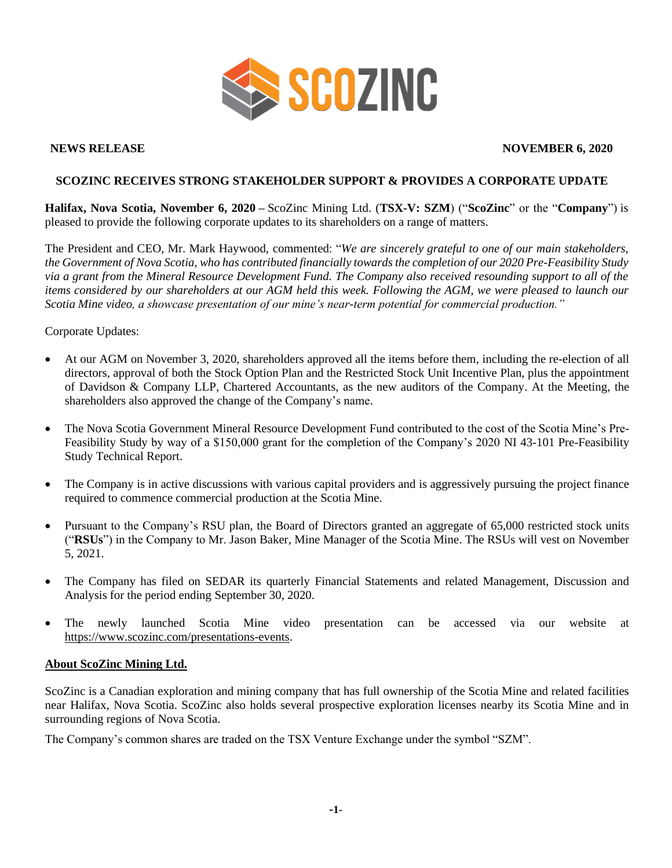

## **NEWS RELEASE NOVEMBER 6, 2020**

# **SCOZINC RECEIVES STRONG STAKEHOLDER SUPPORT & PROVIDES A CORPORATE UPDATE**

**Halifax, Nova Scotia, November 6, 2020 –** ScoZinc Mining Ltd. (**TSX-V: SZM**) ("**ScoZinc**" or the "**Company**") is pleased to provide the following corporate updates to its shareholders on a range of matters.

The President and CEO, Mr. Mark Haywood, commented: "*We are sincerely grateful to one of our main stakeholders, the Government of Nova Scotia, who has contributed financially towards the completion of our 2020 Pre-Feasibility Study via a grant from the Mineral Resource Development Fund. The Company also received resounding support to all of the items considered by our shareholders at our AGM held this week. Following the AGM, we were pleased to launch our Scotia Mine video, a showcase presentation of our mine's near-term potential for commercial production."* 

Corporate Updates:

- At our AGM on November 3, 2020, shareholders approved all the items before them, including the re-election of all directors, approval of both the Stock Option Plan and the Restricted Stock Unit Incentive Plan, plus the appointment of Davidson & Company LLP, Chartered Accountants, as the new auditors of the Company. At the Meeting, the shareholders also approved the change of the Company's name.
- The Nova Scotia Government Mineral Resource Development Fund contributed to the cost of the Scotia Mine's Pre-Feasibility Study by way of a \$150,000 grant for the completion of the Company's 2020 NI 43-101 Pre-Feasibility Study Technical Report.
- The Company is in active discussions with various capital providers and is aggressively pursuing the project finance required to commence commercial production at the Scotia Mine.
- Pursuant to the Company's RSU plan, the Board of Directors granted an aggregate of 65,000 restricted stock units ("**RSUs**") in the Company to Mr. Jason Baker, Mine Manager of the Scotia Mine. The RSUs will vest on November 5, 2021.
- The Company has filed on SEDAR its quarterly Financial Statements and related Management, Discussion and Analysis for the period ending September 30, 2020.
- The newly launched Scotia Mine video presentation can be accessed via our website at [https://www.scozinc.com/presentations-events.](https://www.scozinc.com/presentations-events)

### **About ScoZinc Mining Ltd.**

ScoZinc is a Canadian exploration and mining company that has full ownership of the Scotia Mine and related facilities near Halifax, Nova Scotia. ScoZinc also holds several prospective exploration licenses nearby its Scotia Mine and in surrounding regions of Nova Scotia.

The Company's common shares are traded on the TSX Venture Exchange under the symbol "SZM".